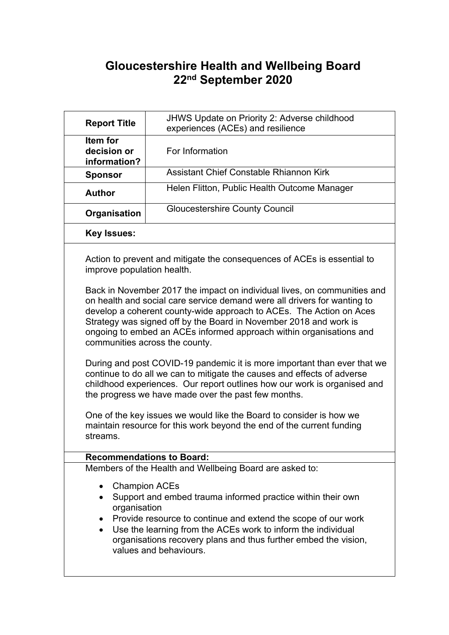# **Gloucestershire Health and Wellbeing Board 22nd September 2020**

| <b>Report Title</b>                     | JHWS Update on Priority 2: Adverse childhood<br>experiences (ACEs) and resilience                                                                                                                                                                                                                                                                                                                                                                                                                                                                                                                                                                                                                                                                                                                                                                                                                                                                                  |
|-----------------------------------------|--------------------------------------------------------------------------------------------------------------------------------------------------------------------------------------------------------------------------------------------------------------------------------------------------------------------------------------------------------------------------------------------------------------------------------------------------------------------------------------------------------------------------------------------------------------------------------------------------------------------------------------------------------------------------------------------------------------------------------------------------------------------------------------------------------------------------------------------------------------------------------------------------------------------------------------------------------------------|
| Item for<br>decision or<br>information? | For Information                                                                                                                                                                                                                                                                                                                                                                                                                                                                                                                                                                                                                                                                                                                                                                                                                                                                                                                                                    |
| <b>Sponsor</b>                          | Assistant Chief Constable Rhiannon Kirk                                                                                                                                                                                                                                                                                                                                                                                                                                                                                                                                                                                                                                                                                                                                                                                                                                                                                                                            |
| <b>Author</b>                           | Helen Flitton, Public Health Outcome Manager                                                                                                                                                                                                                                                                                                                                                                                                                                                                                                                                                                                                                                                                                                                                                                                                                                                                                                                       |
| Organisation                            | <b>Gloucestershire County Council</b>                                                                                                                                                                                                                                                                                                                                                                                                                                                                                                                                                                                                                                                                                                                                                                                                                                                                                                                              |
| <b>Key Issues:</b>                      |                                                                                                                                                                                                                                                                                                                                                                                                                                                                                                                                                                                                                                                                                                                                                                                                                                                                                                                                                                    |
| improve population health.<br>streams.  | Action to prevent and mitigate the consequences of ACEs is essential to<br>Back in November 2017 the impact on individual lives, on communities and<br>on health and social care service demand were all drivers for wanting to<br>develop a coherent county-wide approach to ACEs. The Action on Aces<br>Strategy was signed off by the Board in November 2018 and work is<br>ongoing to embed an ACEs informed approach within organisations and<br>communities across the county.<br>During and post COVID-19 pandemic it is more important than ever that we<br>continue to do all we can to mitigate the causes and effects of adverse<br>childhood experiences. Our report outlines how our work is organised and<br>the progress we have made over the past few months.<br>One of the key issues we would like the Board to consider is how we<br>maintain resource for this work beyond the end of the current funding<br><b>Recommendations to Board:</b> |
|                                         | Members of the Health and Wellbeing Board are asked to:                                                                                                                                                                                                                                                                                                                                                                                                                                                                                                                                                                                                                                                                                                                                                                                                                                                                                                            |
| organisation<br>$\bullet$               | <b>Champion ACEs</b><br>Support and embed trauma informed practice within their own<br>Provide resource to continue and extend the scope of our work<br>Use the learning from the ACEs work to inform the individual<br>organisations recovery plans and thus further embed the vision,<br>values and behaviours.                                                                                                                                                                                                                                                                                                                                                                                                                                                                                                                                                                                                                                                  |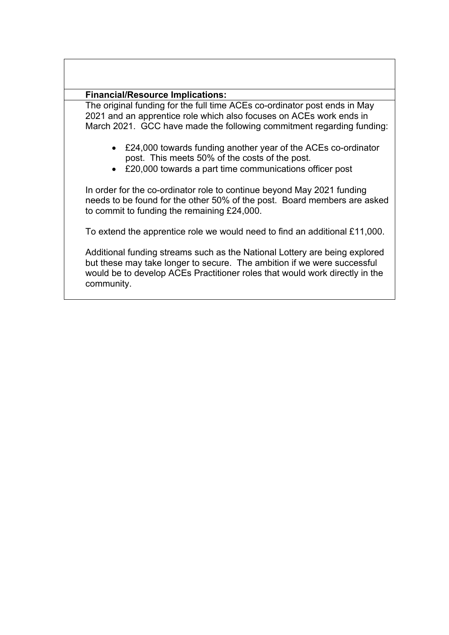#### **Financial/Resource Implications:**

The original funding for the full time ACEs co-ordinator post ends in May 2021 and an apprentice role which also focuses on ACEs work ends in March 2021. GCC have made the following commitment regarding funding:

- £24,000 towards funding another year of the ACEs co-ordinator post. This meets 50% of the costs of the post.
- £20,000 towards a part time communications officer post

In order for the co-ordinator role to continue beyond May 2021 funding needs to be found for the other 50% of the post. Board members are asked to commit to funding the remaining £24,000.

To extend the apprentice role we would need to find an additional £11,000.

Additional funding streams such as the National Lottery are being explored but these may take longer to secure. The ambition if we were successful would be to develop ACEs Practitioner roles that would work directly in the community.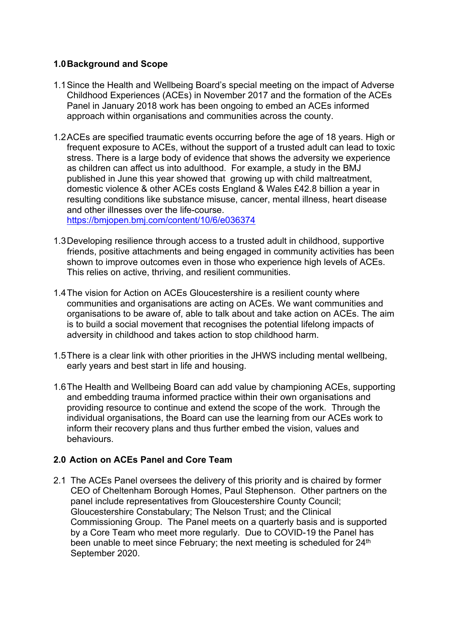#### **1.0Background and Scope**

- 1.1Since the Health and Wellbeing Board's special meeting on the impact of Adverse Childhood Experiences (ACEs) in November 2017 and the formation of the ACEs Panel in January 2018 work has been ongoing to embed an ACEs informed approach within organisations and communities across the county.
- 1.2ACEs are specified traumatic events occurring before the age of 18 years. High or frequent exposure to ACEs, without the support of a trusted adult can lead to toxic stress. There is a large body of evidence that shows the adversity we experience as children can affect us into adulthood. For example, a study in the BMJ published in June this year showed that growing up with child maltreatment, domestic violence & other ACEs costs England & Wales £42.8 billion a year in resulting conditions like substance misuse, cancer, mental illness, heart disease and other illnesses over the life-course. <https://bmjopen.bmj.com/content/10/6/e036374>

1.3Developing resilience through access to a trusted adult in childhood, supportive friends, positive attachments and being engaged in community activities has been shown to improve outcomes even in those who experience high levels of ACEs. This relies on active, thriving, and resilient communities.

- 1.4The vision for Action on ACEs Gloucestershire is a resilient county where communities and organisations are acting on ACEs. We want communities and organisations to be aware of, able to talk about and take action on ACEs. The aim is to build a social movement that recognises the potential lifelong impacts of adversity in childhood and takes action to stop childhood harm.
- 1.5There is a clear link with other priorities in the JHWS including mental wellbeing, early years and best start in life and housing.
- 1.6The Health and Wellbeing Board can add value by championing ACEs, supporting and embedding trauma informed practice within their own organisations and providing resource to continue and extend the scope of the work. Through the individual organisations, the Board can use the learning from our ACEs work to inform their recovery plans and thus further embed the vision, values and behaviours.

## **2.0 Action on ACEs Panel and Core Team**

2.1 The ACEs Panel oversees the delivery of this priority and is chaired by former CEO of Cheltenham Borough Homes, Paul Stephenson. Other partners on the panel include representatives from Gloucestershire County Council; Gloucestershire Constabulary; The Nelson Trust; and the Clinical Commissioning Group. The Panel meets on a quarterly basis and is supported by a Core Team who meet more regularly. Due to COVID-19 the Panel has been unable to meet since February; the next meeting is scheduled for 24<sup>th</sup> September 2020.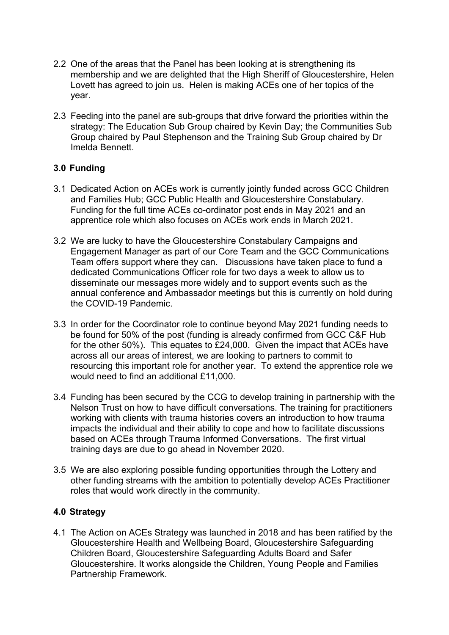- 2.2 One of the areas that the Panel has been looking at is strengthening its membership and we are delighted that the High Sheriff of Gloucestershire, Helen Lovett has agreed to join us. Helen is making ACEs one of her topics of the year.
- 2.3 Feeding into the panel are sub-groups that drive forward the priorities within the strategy: The Education Sub Group chaired by Kevin Day; the Communities Sub Group chaired by Paul Stephenson and the Training Sub Group chaired by Dr Imelda Bennett.

## **3.0 Funding**

- 3.1 Dedicated Action on ACEs work is currently jointly funded across GCC Children and Families Hub; GCC Public Health and Gloucestershire Constabulary. Funding for the full time ACEs co-ordinator post ends in May 2021 and an apprentice role which also focuses on ACEs work ends in March 2021.
- 3.2 We are lucky to have the Gloucestershire Constabulary Campaigns and Engagement Manager as part of our Core Team and the GCC Communications Team offers support where they can. Discussions have taken place to fund a dedicated Communications Officer role for two days a week to allow us to disseminate our messages more widely and to support events such as the annual conference and Ambassador meetings but this is currently on hold during the COVID-19 Pandemic.
- 3.3 In order for the Coordinator role to continue beyond May 2021 funding needs to be found for 50% of the post (funding is already confirmed from GCC C&F Hub for the other 50%). This equates to £24,000. Given the impact that ACEs have across all our areas of interest, we are looking to partners to commit to resourcing this important role for another year. To extend the apprentice role we would need to find an additional £11,000.
- 3.4 Funding has been secured by the CCG to develop training in partnership with the Nelson Trust on how to have difficult conversations. The training for practitioners working with clients with trauma histories covers an introduction to how trauma impacts the individual and their ability to cope and how to facilitate discussions based on ACEs through Trauma Informed Conversations. The first virtual training days are due to go ahead in November 2020.
- 3.5 We are also exploring possible funding opportunities through the Lottery and other funding streams with the ambition to potentially develop ACEs Practitioner roles that would work directly in the community.

## **4.0 Strategy**

4.1 The Action on ACEs Strategy was launched in 2018 and has been ratified by the Gloucestershire Health and Wellbeing Board, Gloucestershire Safeguarding Children Board, Gloucestershire Safeguarding Adults Board and Safer Gloucestershire. It works alongside the Children, Young People and Families Partnership Framework.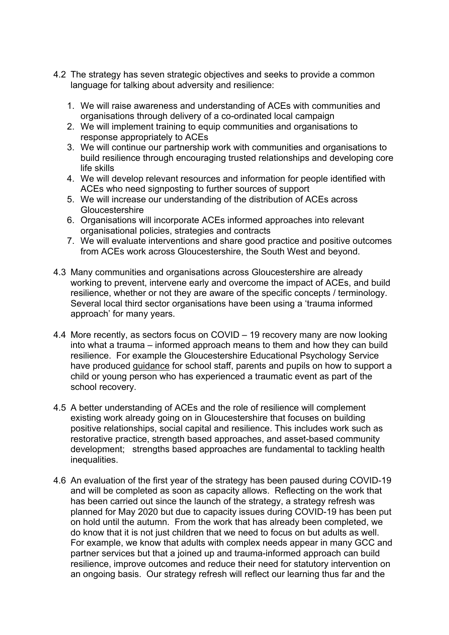- 4.2 The strategy has seven strategic objectives and seeks to provide a common language for talking about adversity and resilience:
	- 1. We will raise awareness and understanding of ACEs with communities and organisations through delivery of a co-ordinated local campaign
	- 2. We will implement training to equip communities and organisations to response appropriately to ACEs
	- 3. We will continue our partnership work with communities and organisations to build resilience through encouraging trusted relationships and developing core life skills
	- 4. We will develop relevant resources and information for people identified with ACEs who need signposting to further sources of support
	- 5. We will increase our understanding of the distribution of ACEs across Gloucestershire
	- 6. Organisations will incorporate ACEs informed approaches into relevant organisational policies, strategies and contracts
	- 7. We will evaluate interventions and share good practice and positive outcomes from ACEs work across Gloucestershire, the South West and beyond.
- 4.3 Many communities and organisations across Gloucestershire are already working to prevent, intervene early and overcome the impact of ACEs, and build resilience, whether or not they are aware of the specific concepts / terminology. Several local third sector organisations have been using a 'trauma informed approach' for many years.
- 4.4 More recently, as sectors focus on COVID 19 recovery many are now looking into what a trauma – informed approach means to them and how they can build resilience. For example the Gloucestershire Educational Psychology Service have produced [guidance](https://www.gloucestershire.gov.uk/education-and-learning/special-educational-needs-and-disability-send/educational-psychology-service-eps/traumatic-events/) for school staff, parents and pupils on how to support a child or young person who has experienced a traumatic event as part of the school recovery.
- 4.5 A better understanding of ACEs and the role of resilience will complement existing work already going on in Gloucestershire that focuses on building positive relationships, social capital and resilience. This includes work such as restorative practice, strength based approaches, and asset-based community development; strengths based approaches are fundamental to tackling health inequalities.
- 4.6 An evaluation of the first year of the strategy has been paused during COVID-19 and will be completed as soon as capacity allows. Reflecting on the work that has been carried out since the launch of the strategy, a strategy refresh was planned for May 2020 but due to capacity issues during COVID-19 has been put on hold until the autumn. From the work that has already been completed, we do know that it is not just children that we need to focus on but adults as well. For example, we know that adults with complex needs appear in many GCC and partner services but that a joined up and trauma-informed approach can build resilience, improve outcomes and reduce their need for statutory intervention on an ongoing basis. Our strategy refresh will reflect our learning thus far and the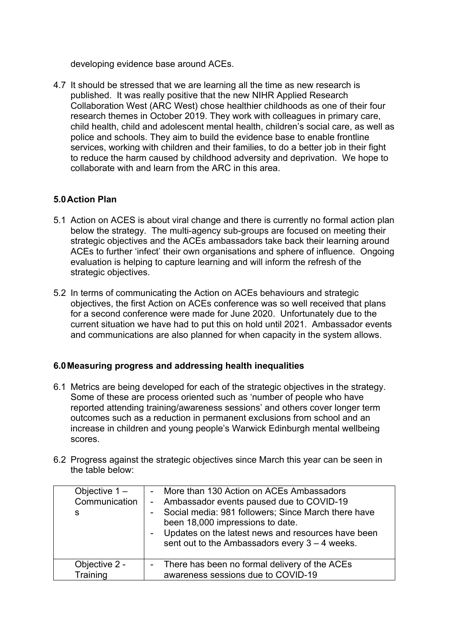developing evidence base around ACEs.

4.7 It should be stressed that we are learning all the time as new research is published. It was really positive that the new NIHR Applied Research Collaboration West (ARC West) chose healthier childhoods as one of their four research themes in October 2019. They work with colleagues in primary care, child health, child and adolescent mental health, children's social care, as well as police and schools. They aim to build the evidence base to enable frontline services, working with children and their families, to do a better job in their fight to reduce the harm caused by childhood adversity and deprivation. We hope to collaborate with and learn from the ARC in this area.

## **5.0Action Plan**

- 5.1 Action on ACES is about viral change and there is currently no formal action plan below the strategy. The multi-agency sub-groups are focused on meeting their strategic objectives and the ACEs ambassadors take back their learning around ACEs to further 'infect' their own organisations and sphere of influence. Ongoing evaluation is helping to capture learning and will inform the refresh of the strategic objectives.
- 5.2 In terms of communicating the Action on ACEs behaviours and strategic objectives, the first Action on ACEs conference was so well received that plans for a second conference were made for June 2020. Unfortunately due to the current situation we have had to put this on hold until 2021. Ambassador events and communications are also planned for when capacity in the system allows.

#### **6.0Measuring progress and addressing health inequalities**

- 6.1 Metrics are being developed for each of the strategic objectives in the strategy. Some of these are process oriented such as 'number of people who have reported attending training/awareness sessions' and others cover longer term outcomes such as a reduction in permanent exclusions from school and an increase in children and young people's Warwick Edinburgh mental wellbeing scores.
- 6.2 Progress against the strategic objectives since March this year can be seen in the table below:

| Objective $1 -$<br>Communication  <br>S | - More than 130 Action on ACEs Ambassadors<br>- Ambassador events paused due to COVID-19<br>- Social media: 981 followers; Since March there have<br>been 18,000 impressions to date.<br>Updates on the latest news and resources have been<br>sent out to the Ambassadors every $3 - 4$ weeks. |  |
|-----------------------------------------|-------------------------------------------------------------------------------------------------------------------------------------------------------------------------------------------------------------------------------------------------------------------------------------------------|--|
| Objective 2 -<br>Training               | - There has been no formal delivery of the ACEs<br>awareness sessions due to COVID-19                                                                                                                                                                                                           |  |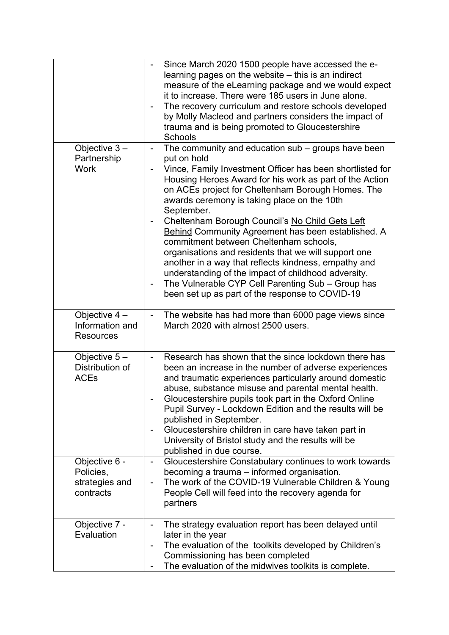|                                                           | Since March 2020 1500 people have accessed the e-<br>learning pages on the website - this is an indirect<br>measure of the eLearning package and we would expect<br>it to increase. There were 185 users in June alone.<br>The recovery curriculum and restore schools developed<br>by Molly Macleod and partners considers the impact of<br>trauma and is being promoted to Gloucestershire<br><b>Schools</b>                                                                                                                                                                                                                                                                                                                                                                                             |
|-----------------------------------------------------------|------------------------------------------------------------------------------------------------------------------------------------------------------------------------------------------------------------------------------------------------------------------------------------------------------------------------------------------------------------------------------------------------------------------------------------------------------------------------------------------------------------------------------------------------------------------------------------------------------------------------------------------------------------------------------------------------------------------------------------------------------------------------------------------------------------|
| Objective $3 -$<br>Partnership<br><b>Work</b>             | The community and education sub - groups have been<br>$\overline{\phantom{0}}$<br>put on hold<br>Vince, Family Investment Officer has been shortlisted for<br>Housing Heroes Award for his work as part of the Action<br>on ACEs project for Cheltenham Borough Homes. The<br>awards ceremony is taking place on the 10th<br>September.<br>Cheltenham Borough Council's No Child Gets Left<br>-<br>Behind Community Agreement has been established. A<br>commitment between Cheltenham schools,<br>organisations and residents that we will support one<br>another in a way that reflects kindness, empathy and<br>understanding of the impact of childhood adversity.<br>The Vulnerable CYP Cell Parenting Sub - Group has<br>$\overline{\phantom{a}}$<br>been set up as part of the response to COVID-19 |
| Objective 4 -<br>Information and<br><b>Resources</b>      | The website has had more than 6000 page views since<br>March 2020 with almost 2500 users.                                                                                                                                                                                                                                                                                                                                                                                                                                                                                                                                                                                                                                                                                                                  |
| Objective $5-$<br>Distribution of<br><b>ACEs</b>          | Research has shown that the since lockdown there has<br>-<br>been an increase in the number of adverse experiences<br>and traumatic experiences particularly around domestic<br>abuse, substance misuse and parental mental health.<br>Gloucestershire pupils took part in the Oxford Online<br>Pupil Survey - Lockdown Edition and the results will be<br>published in September.<br>Gloucestershire children in care have taken part in<br>$\overline{\phantom{0}}$<br>University of Bristol study and the results will be<br>published in due course.                                                                                                                                                                                                                                                   |
| Objective 6 -<br>Policies,<br>strategies and<br>contracts | Gloucestershire Constabulary continues to work towards<br>$\overline{\phantom{0}}$<br>becoming a trauma – informed organisation.<br>The work of the COVID-19 Vulnerable Children & Young<br>$\overline{a}$<br>People Cell will feed into the recovery agenda for<br>partners                                                                                                                                                                                                                                                                                                                                                                                                                                                                                                                               |
| Objective 7 -<br>Evaluation                               | The strategy evaluation report has been delayed until<br>$\overline{\phantom{0}}$<br>later in the year<br>The evaluation of the toolkits developed by Children's<br>Commissioning has been completed<br>The evaluation of the midwives toolkits is complete.                                                                                                                                                                                                                                                                                                                                                                                                                                                                                                                                               |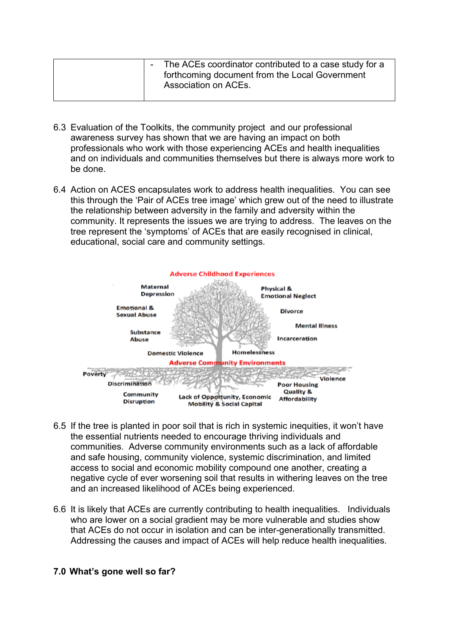| The ACEs coordinator contributed to a case study for a<br>forthcoming document from the Local Government<br>Association on ACEs. |
|----------------------------------------------------------------------------------------------------------------------------------|
|----------------------------------------------------------------------------------------------------------------------------------|

- 6.3 Evaluation of the Toolkits, the community project and our professional awareness survey has shown that we are having an impact on both professionals who work with those experiencing ACEs and health inequalities and on individuals and communities themselves but there is always more work to be done.
- 6.4 Action on ACES encapsulates work to address health inequalities. You can see this through the 'Pair of ACEs tree image' which grew out of the need to illustrate the relationship between adversity in the family and adversity within the community. It represents the issues we are trying to address. The leaves on the tree represent the 'symptoms' of ACEs that are easily recognised in clinical, educational, social care and community settings.



- 6.5 If the tree is planted in poor soil that is rich in systemic inequities, it won't have the essential nutrients needed to encourage thriving individuals and communities. Adverse community environments such as a lack of affordable and safe housing, community violence, systemic discrimination, and limited access to social and economic mobility compound one another, creating a negative cycle of ever worsening soil that results in withering leaves on the tree and an increased likelihood of ACEs being experienced.
- 6.6 It is likely that ACEs are currently contributing to health inequalities. Individuals who are lower on a social gradient may be more vulnerable and studies show that ACEs do not occur in isolation and can be inter-generationally transmitted. Addressing the causes and impact of ACEs will help reduce health inequalities.

#### **7.0 What's gone well so far?**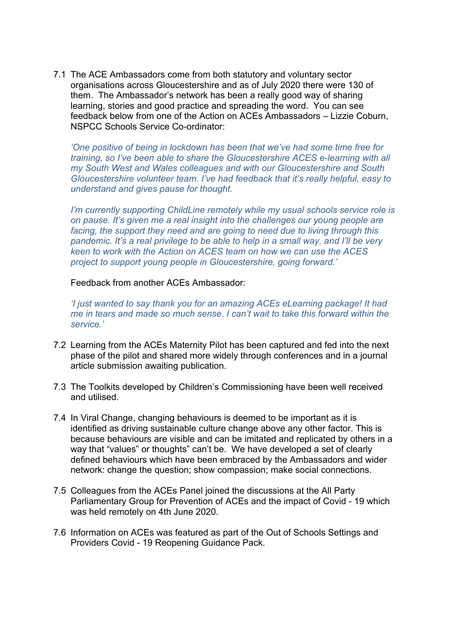7.1 The ACE Ambassadors come from both statutory and voluntary sector organisations across Gloucestershire and as of July 2020 there were 130 of them. The Ambassador's network has been a really good way of sharing learning, stories and good practice and spreading the word. You can see feedback below from one of the Action on ACEs Ambassadors – Lizzie Coburn, NSPCC Schools Service Co-ordinator:

*'One positive of being in lockdown has been that we've had some time free for training, so I've been able to share the Gloucestershire ACES e-learning with all my South West and Wales colleagues and with our Gloucestershire and South Gloucestershire volunteer team. I've had feedback that it's really helpful, easy to understand and gives pause for thought.*

*I'm currently supporting ChildLine remotely while my usual schools service role is on pause. It's given me a real insight into the challenges our young people are facing, the support they need and are going to need due to living through this pandemic. It's a real privilege to be able to help in a small way, and I'll be very keen to work with the Action on ACES team on how we can use the ACES project to support young people in Gloucestershire, going forward.'*

Feedback from another ACEs Ambassador:

*'I just wanted to say thank you for an amazing ACEs eLearning package! It had me in tears and made so much sense. I can't wait to take this forward within the service.'*

- 7.2 Learning from the ACEs Maternity Pilot has been captured and fed into the next phase of the pilot and shared more widely through conferences and in a journal article submission awaiting publication.
- 7.3 The Toolkits developed by Children's Commissioning have been well received and utilised.
- 7.4 In Viral Change, changing behaviours is deemed to be important as it is identified as driving sustainable culture change above any other factor. This is because behaviours are visible and can be imitated and replicated by others in a way that "values" or thoughts" can't be. We have developed a set of clearly defined behaviours which have been embraced by the Ambassadors and wider network: change the question; show compassion; make social connections.
- 7.5 Colleagues from the ACEs Panel joined the discussions at the All Party Parliamentary Group for Prevention of ACEs and the impact of Covid - 19 which was held remotely on 4th June 2020.
- 7.6 Information on ACEs was featured as part of the Out of Schools Settings and Providers Covid - 19 Reopening Guidance Pack.